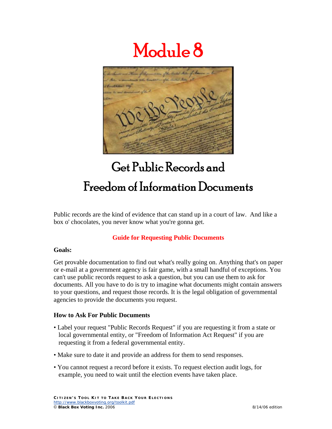# Module 8



## Get Public Records and Freedom of Information Documents

Public records are the kind of evidence that can stand up in a court of law. And like a box o' chocolates, you never know what you're gonna get.

#### **Guide for Requesting Public Documents**

#### **Goals:**

Get provable documentation to find out what's really going on. Anything that's on paper or e-mail at a government agency is fair game, with a small handful of exceptions. You can't use public records request to ask a question, but you can use them to ask for documents. All you have to do is try to imagine what documents might contain answers to your questions, and request those records. It is the legal obligation of governmental agencies to provide the documents you request.

#### **How to Ask For Public Documents**

- Label your request "Public Records Request" if you are requesting it from a state or local governmental entity, or "Freedom of Information Act Request" if you are requesting it from a federal governmental entity.
- Make sure to date it and provide an address for them to send responses.
- You cannot request a record before it exists. To request election audit logs, for example, you need to wait until the election events have taken place.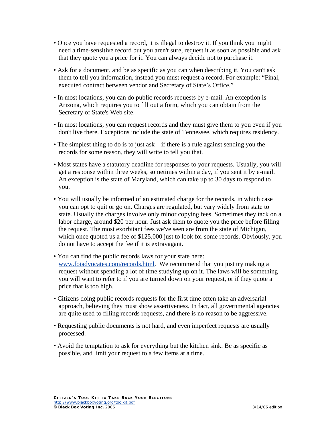- Once you have requested a record, it is illegal to destroy it. If you think you might need a time-sensitive record but you aren't sure, request it as soon as possible and ask that they quote you a price for it. You can always decide not to purchase it.
- Ask for a document, and be as specific as you can when describing it. You can't ask them to tell you information, instead you must request a record. For example: "Final, executed contract between vendor and Secretary of State's Office."
- In most locations, you can do public records requests by e-mail. An exception is Arizona, which requires you to fill out a form, which you can obtain from the Secretary of State's Web site.
- In most locations, you can request records and they must give them to you even if you don't live there. Exceptions include the state of Tennessee, which requires residency.
- The simplest thing to do is to just ask if there is a rule against sending you the records for some reason, they will write to tell you that.
- Most states have a statutory deadline for responses to your requests. Usually, you will get a response within three weeks, sometimes within a day, if you sent it by e-mail. An exception is the state of Maryland, which can take up to 30 days to respond to you.
- You will usually be informed of an estimated charge for the records, in which case you can opt to quit or go on. Charges are regulated, but vary widely from state to state. Usually the charges involve only minor copying fees. Sometimes they tack on a labor charge, around \$20 per hour. Just ask them to quote you the price before filling the request. The most exorbitant fees we've seen are from the state of Michigan, which once quoted us a fee of \$125,000 just to look for some records. Obviously, you do not have to accept the fee if it is extravagant.
- You can find the public records laws for your state here: [www.foiadvocates.com/records.html.](http://www.bbvforums.org/forums/messages/73/www.foiadvocates.com/records.html) We recommend that you just try making a request without spending a lot of time studying up on it. The laws will be something you will want to refer to if you are turned down on your request, or if they quote a price that is too high.
- Citizens doing public records requests for the first time often take an adversarial approach, believing they must show assertiveness. In fact, all governmental agencies are quite used to filling records requests, and there is no reason to be aggressive.
- Requesting public documents is not hard, and even imperfect requests are usually processed.
- Avoid the temptation to ask for everything but the kitchen sink. Be as specific as possible, and limit your request to a few items at a time.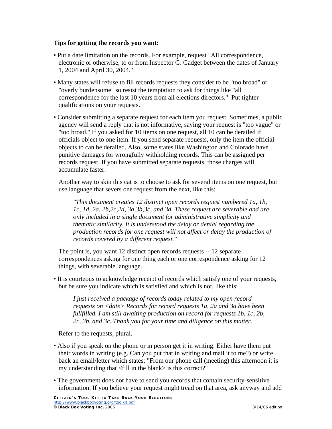#### **Tips for getting the records you want:**

- Put a date limitation on the records. For example, request "All correspondence, electronic or otherwise, to or from Inspector G. Gadget between the dates of January 1, 2004 and April 30, 2004."
- Many states will refuse to fill records requests they consider to be "too broad" or "overly burdensome" so resist the temptation to ask for things like "all correspondence for the last 10 years from all elections directors." Put tighter qualifications on your requests.
- Consider submitting a separate request for each item you request. Sometimes, a public agency will send a reply that is not informative, saying your request is "too vague" or "too broad." If you asked for 10 items on one request, all 10 can be derailed if officials object to one item. If you send separate requests, only the item the official objects to can be derailed. Also, some states like Washington and Colorado have punitive damages for wrongfully withholding records. This can be assigned per records request. If you have submitted separate requests, those charges will accumulate faster.

Another way to skin this cat is to choose to ask for several items on one request, but use language that severs one request from the next, like this:

*"This document creates 12 distinct open records request numbered 1a, 1b, 1c, 1d, 2a, 2b,2c,2d, 3a,3b,3c, and 3d. These request are severable and are only included in a single document for administrative simplicity and thematic similarity. It is understood the delay or denial regarding the production records for one request will not affect or delay the production of records covered by a different request."*

The point is, you want 12 distinct open records requests -- 12 separate correspondences asking for one thing each or one correspondence asking for 12 things, with severable language.

• It is courteous to acknowledge receipt of records which satisfy one of your requests, but be sure you indicate which is satisfied and which is not, like this:

*I just received a package of records today related to my open record requests on <date> Records for record requests 1a, 2a and 3a have been fullfilled. I am still awaiting production on record for requests 1b, 1c, 2b, 2c, 3b, and 3c. Thank you for your time and diligence on this matter.*

Refer to the requests, plural.

- Also if you speak on the phone or in person get it in writing. Either have them put their words in writing (e.g. Can you put that in writing and mail it to me?) or write back an email/letter which states: "From our phone call (meeting) this afternoon it is my understanding that <fill in the blank> is this correct?"
- The government does not have to send you records that contain security-sensitive information. If you believe your request might tread on that area, ask anyway and add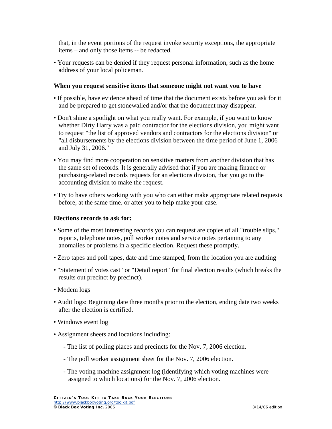that, in the event portions of the request invoke security exceptions, the appropriate items – and only those items -- be redacted.

• Your requests can be denied if they request personal information, such as the home address of your local policeman.

#### **When you request sensitive items that someone might not want you to have**

- If possible, have evidence ahead of time that the document exists before you ask for it and be prepared to get stonewalled and/or that the document may disappear.
- Don't shine a spotlight on what you really want. For example, if you want to know whether Dirty Harry was a paid contractor for the elections division, you might want to request "the list of approved vendors and contractors for the elections division" or "all disbursements by the elections division between the time period of June 1, 2006 and July 31, 2006."
- You may find more cooperation on sensitive matters from another division that has the same set of records. It is generally advised that if you are making finance or purchasing-related records requests for an elections division, that you go to the accounting division to make the request.
- Try to have others working with you who can either make appropriate related requests before, at the same time, or after you to help make your case.

#### **Elections records to ask for:**

- Some of the most interesting records you can request are copies of all "trouble slips," reports, telephone notes, poll worker notes and service notes pertaining to any anomalies or problems in a specific election. Request these promptly.
- Zero tapes and poll tapes, date and time stamped, from the location you are auditing
- "Statement of votes cast" or "Detail report" for final election results (which breaks the results out precinct by precinct).
- Modem logs
- Audit logs: Beginning date three months prior to the election, ending date two weeks after the election is certified.
- Windows event log
- Assignment sheets and locations including:
	- The list of polling places and precincts for the Nov. 7, 2006 election.
	- The poll worker assignment sheet for the Nov. 7, 2006 election.
	- The voting machine assignment log (identifying which voting machines were assigned to which locations) for the Nov. 7, 2006 election.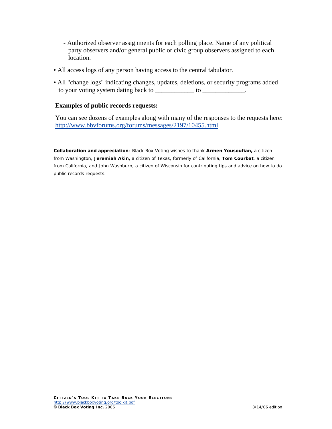- Authorized observer assignments for each polling place. Name of any political party observers and/or general public or civic group observers assigned to each location.
- All access logs of any person having access to the central tabulator.
- All "change logs" indicating changes, updates, deletions, or security programs added to your voting system dating back to \_\_\_\_\_\_\_\_\_\_\_\_\_\_ to \_\_\_\_\_\_\_\_\_\_\_\_\_.

#### **Examples of public records requests:**

You can see dozens of examples along with many of the responses to the requests here: <http://www.bbvforums.org/forums/messages/2197/10455.html>

**Collaboration and appreciation**: Black Box Voting wishes to thank **Armen Yousoufian,** a citizen from Washington, **Jeremiah Akin,** a citizen of Texas, formerly of California, **Tom Courbat**, a citizen from California, and John Washburn, a citizen of Wisconsin for contributing tips and advice on how to do public records requests.